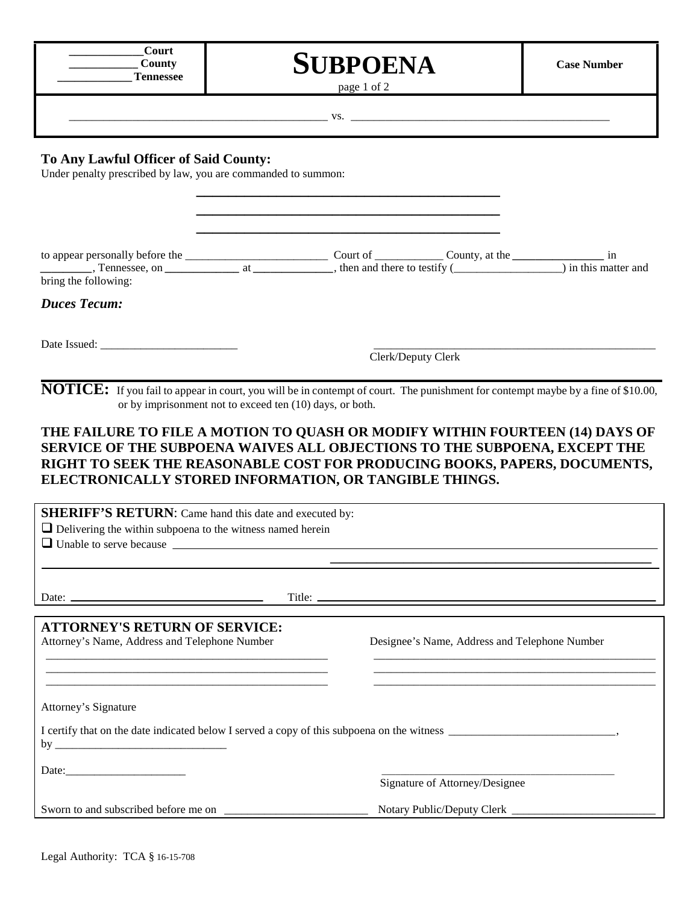| Court            |
|------------------|
| County           |
| <b>Tennessee</b> |

## **\_\_\_\_\_\_\_\_\_\_\_\_\_Tennessee SUBPOENA**

**Case Number**

page 1 of 2

\_\_\_\_\_\_\_\_\_\_\_\_\_\_\_\_\_\_\_\_\_\_\_\_\_\_\_\_\_\_\_\_\_\_\_\_\_\_\_\_\_\_\_\_\_ vs. \_\_\_\_\_\_\_\_\_\_\_\_\_\_\_\_\_\_\_\_\_\_\_\_\_\_\_\_\_\_\_\_\_\_\_\_\_\_\_\_\_\_\_\_\_

## **To Any Lawful Officer of Said County:**

Under penalty prescribed by law, you are commanded to summon:

| Tennessee, on $\qquad \qquad$ at $\qquad \qquad$ , then and there to testify $\qquad \qquad$ ) in this matter and<br>bring the following:                                                            |                    |  |                                               |  |
|------------------------------------------------------------------------------------------------------------------------------------------------------------------------------------------------------|--------------------|--|-----------------------------------------------|--|
| <b>Duces Tecum:</b>                                                                                                                                                                                  |                    |  |                                               |  |
|                                                                                                                                                                                                      |                    |  |                                               |  |
|                                                                                                                                                                                                      | Clerk/Deputy Clerk |  |                                               |  |
| <b>NOTICE:</b> If you fail to appear in court, you will be in contempt of court. The punishment for contempt maybe by a fine of \$10.00,<br>or by imprisonment not to exceed ten (10) days, or both. |                    |  |                                               |  |
|                                                                                                                                                                                                      |                    |  |                                               |  |
| THE FAILURE TO FILE A MOTION TO QUASH OR MODIFY WITHIN FOURTEEN (14) DAYS OF<br>SERVICE OF THE SUBPOENA WAIVES ALL OBJECTIONS TO THE SUBPOENA, EXCEPT THE                                            |                    |  |                                               |  |
| RIGHT TO SEEK THE REASONABLE COST FOR PRODUCING BOOKS, PAPERS, DOCUMENTS,                                                                                                                            |                    |  |                                               |  |
| ELECTRONICALLY STORED INFORMATION, OR TANGIBLE THINGS.                                                                                                                                               |                    |  |                                               |  |
| <b>SHERIFF'S RETURN:</b> Came hand this date and executed by:<br>$\Box$ Delivering the within subpoena to the witness named herein                                                                   |                    |  |                                               |  |
|                                                                                                                                                                                                      |                    |  |                                               |  |
|                                                                                                                                                                                                      |                    |  |                                               |  |
|                                                                                                                                                                                                      |                    |  |                                               |  |
| <b>ATTORNEY'S RETURN OF SERVICE:</b>                                                                                                                                                                 |                    |  |                                               |  |
| Attorney's Name, Address and Telephone Number                                                                                                                                                        |                    |  | Designee's Name, Address and Telephone Number |  |
|                                                                                                                                                                                                      |                    |  |                                               |  |
|                                                                                                                                                                                                      |                    |  |                                               |  |
| Attorney's Signature                                                                                                                                                                                 |                    |  |                                               |  |
|                                                                                                                                                                                                      |                    |  |                                               |  |
|                                                                                                                                                                                                      |                    |  |                                               |  |
|                                                                                                                                                                                                      |                    |  | Signature of Attorney/Designee                |  |
|                                                                                                                                                                                                      |                    |  | Notary Public/Deputy Clerk ____________       |  |